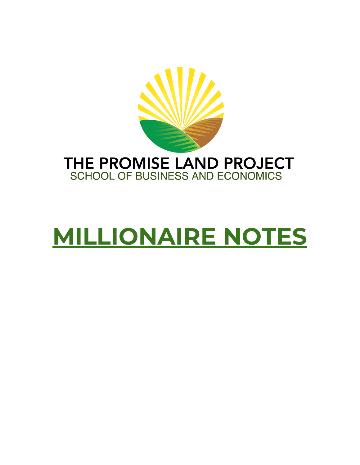

# **MILLIONAIRE NOTES**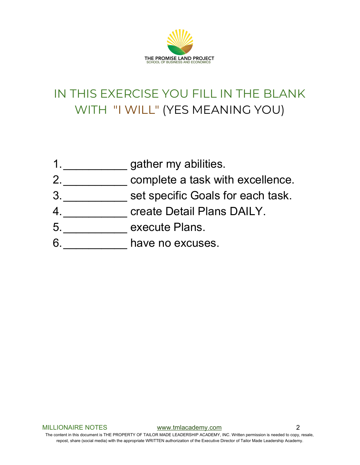

### IN THIS EXERCISE YOU FILL IN THE BLANK WITH "I WILL" (YES MEANING YOU)

- 1.\_\_\_\_\_\_\_\_\_\_\_\_\_\_ gather my abilities.
- 2. \_\_\_\_\_\_\_\_\_\_\_ complete a task with excellence.
- 3. \_\_\_\_\_\_\_\_\_\_\_ set specific Goals for each task.
- create Detail Plans DAILY.
- 5. **Execute Plans.**
- 6. \_\_\_\_\_\_\_\_ have no excuses.

MILLIONAIRE NOTES [www.tmlacademy.com](http://www.tmlacademy.com/) 2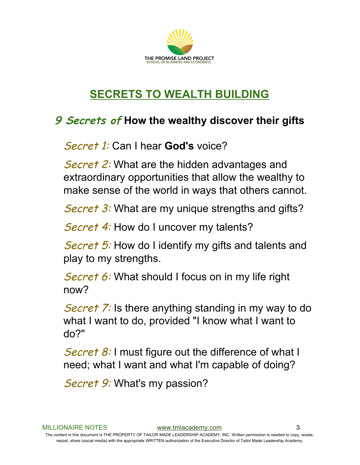

#### **SECRETS TO WEALTH BUILDING**

#### **9 Secrets of How the wealthy discover their gifts**

Secret 1: Can I hear **God's** voice?

Secret 2: What are the hidden advantages and extraordinary opportunities that allow the wealthy to make sense of the world in ways that others cannot.

Secret 3: What are my unique strengths and gifts?

Secret 4: How do I uncover my talents?

Secret 5: How do I identify my gifts and talents and play to my strengths.

Secret 6: What should I focus on in my life right now?

Secret 7: Is there anything standing in my way to do what I want to do, provided "I know what I want to do?"

Secret 8: I must figure out the difference of what I need; what I want and what I'm capable of doing?

Secret 9: What's my passion?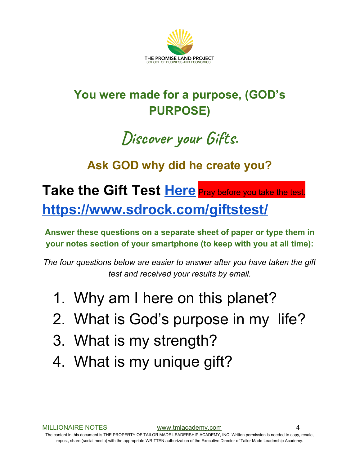

### **You were made for a purpose, (GOD's PURPOSE)**

## **Discover your Gifts.**

#### **Ask GOD why did he create you?**

### **Take the Gift Test [Here](https://www.sdrock.com/giftstest/)** Pray before you take the test[.](https://www.sdrock.com/giftstest/) **<https://www.sdrock.com/giftstest/>**

**Answer these questions on a separate sheet of paper or type them in your notes section of your smartphone (to keep with you at all time):**

*The four questions below are easier to answer after you have taken the gift test and received your results by email.*

- 1. Why am I here on this planet?
- 2. What is God's purpose in my life?
- 3. What is my strength?
- 4. What is my unique gift?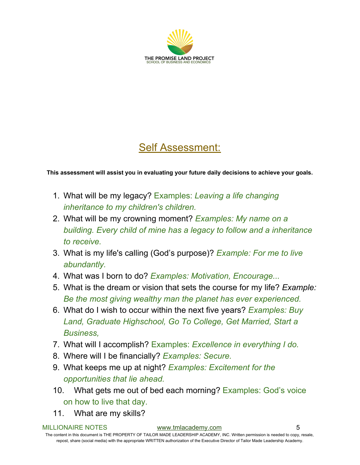

#### Self Assessment:

**This assessment will assist you in evaluating your future daily decisions to achieve your goals.**

- 1. What will be my legacy? Examples: *Leaving a life changing inheritance to my children's children.*
- 2. What will be my crowning moment? *Examples: My name on a building. Every child of mine has a legacy to follow and a inheritance to receive.*
- 3. What is my life's calling (God's purpose)? *Example: For me to live abundantly.*
- 4. What was I born to do? *Examples: Motivation, Encourage...*
- 5. What is the dream or vision that sets the course for my life? *Example: Be the most giving wealthy man the planet has ever experienced.*
- 6. What do I wish to occur within the next five years? *Examples: Buy Land, Graduate Highschool, Go To College, Get Married, Start a Business,*
- 7. What will I accomplish? Examples: *Excellence in everything I do.*
- 8. Where will I be financially? *Examples: Secure.*
- 9. What keeps me up at night? *Examples: Excitement for the opportunities that lie ahead.*
- 10. What gets me out of bed each morning? Examples: God's voice on how to live that day.
- 11. What are my skills?

#### MILLIONAIRE NOTES [www.tmlacademy.com](http://www.tmlacademy.com/) 5